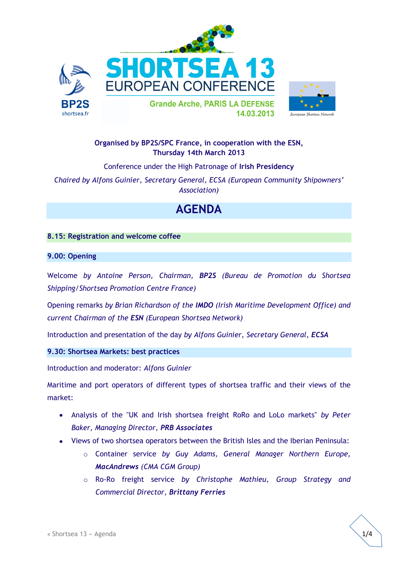



# **Organised by BP2S/SPC France, in cooperation with the ESN, Thursday 14th March 2013**

Conference under the High Patronage of **Irish Presidency**

*Chaired by Alfons Guinier, Secretary General, ECSA (European Community Shipowners' Association)*

# **AGENDA**

#### **8.15: Registration and welcome coffee**

#### **9.00: Opening**

Welcome *by Antoine Person, Chairman, BP2S (Bureau de Promotion du Shortsea Shipping/Shortsea Promotion Centre France)*

Opening remarks *by Brian Richardson of the IMDO (Irish Maritime Development Office) and current Chairman of the ESN (European Shortsea Network)*

Introduction and presentation of the day *by Alfons Guinier, Secretary General, ECSA*

**9.30: Shortsea Markets: best practices**

Introduction and moderator: *Alfons Guinier*

Maritime and port operators of different types of shortsea traffic and their views of the market:

- Analysis of the "UK and Irish shortsea freight RoRo and LoLo markets" *by Peter Baker, Managing Director, PRB Associates*
- Views of two shortsea operators between the British Isles and the Iberian Peninsula:
	- o Container service *by Guy Adams, General Manager Northern Europe, MacAndrews (CMA CGM Group)*
	- o Ro-Ro freight service *by Christophe Mathieu, Group Strategy and Commercial Director, Brittany Ferries*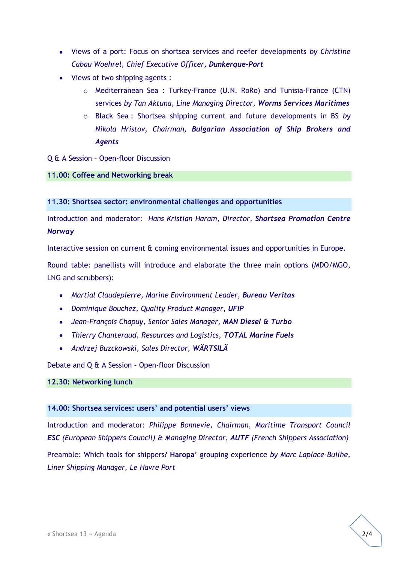- Views of a port: Focus on shortsea services and reefer developments *by Christine Cabau Woehrel, Chief Executive Officer, Dunkerque-Port*
- Views of two shipping agents :
	- o Mediterranean Sea : Turkey-France (U.N. RoRo) and Tunisia-France (CTN) services *by Tan Aktuna, Line Managing Director, Worms Services Maritimes*
	- o Black Sea : Shortsea shipping current and future developments in BS *by Nikola Hristov, Chairman, Bulgarian Association of Ship Brokers and Agents*
- Q & A Session Open-floor Discussion

#### **11.00: Coffee and Networking break**

**11.30: Shortsea sector: environmental challenges and opportunities**

Introduction and moderator: *Hans Kristian Haram, Director, Shortsea Promotion Centre Norway* 

Interactive session on current & coming environmental issues and opportunities in Europe.

Round table: panellists will introduce and elaborate the three main options (MDO/MGO, LNG and scrubber*s*):

- *Martial Claudepierre, Marine Environment Leader, Bureau Veritas*
- *Dominique Bouchez, Quality Product Manager, UFIP*
- *Jean-François Chapuy, Senior Sales Manager, MAN Diesel & Turbo*
- *Thierry Chanteraud, Resources and Logistics, TOTAL Marine Fuels*
- *Andrzej Buzckowski, Sales Director, WÄRTSILÄ*

Debate and Q & A Session – Open-floor Discussion

#### **12.30: Networking lunch**

#### **14.00: Shortsea services: users' and potential users' views**

Introduction and moderator: *Philippe Bonnevie, Chairman, Maritime Transport Council ESC (European Shippers Council) & Managing Director, AUTF (French Shippers Association)* Preamble: Which tools for shippers? **Haropa**' grouping experience *by Marc Laplace-Builhe, Liner Shipping Manager, Le Havre Port*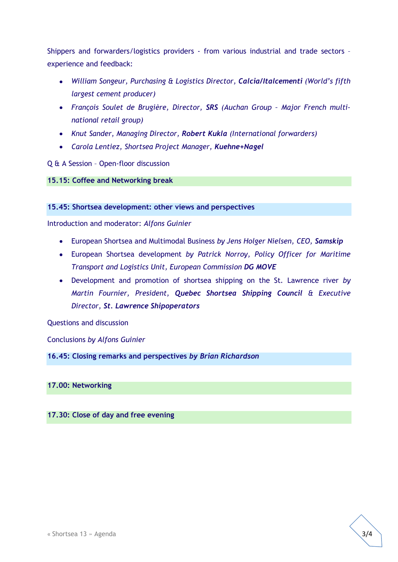Shippers and forwarders/logistics providers - from various industrial and trade sectors – experience and feedback:

- *William Songeur, Purchasing & Logistics Director, Calcia/Italcementi (World's fifth largest cement producer)*
- *François Soulet de Brugière, Director, SRS (Auchan Group – Major French multinational retail group)*
- *Knut Sander, Managing Director, Robert Kukla (International forwarders)*
- *Carola Lentiez, Shortsea Project Manager, Kuehne+Nagel*

## Q & A Session – Open-floor discussion

**15.15: Coffee and Networking break**

#### **15.45: Shortsea development: other views and perspectives**

Introduction and moderator: *Alfons Guinier*

- European Shortsea and Multimodal Business *by Jens Holger Nielsen, CEO, Samskip*
- European Shortsea development *by Patrick Norroy, Policy Officer for Maritime Transport and Logistics Unit, European Commission DG MOVE*
- Development and promotion of shortsea shipping on the St. Lawrence river *by Martin Fournier, President, Quebec Shortsea Shipping Council & Executive Director, St. Lawrence Shipoperators*

Questions and discussion

Conclusions *by Alfons Guinier*

**16.45: Closing remarks and perspectives** *by Brian Richardson*

## **17.00: Networking**

## **17.30: Close of day and free evening**